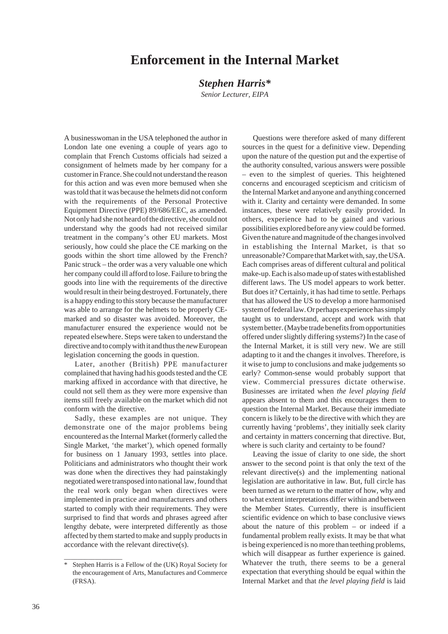## **Enforcement in the Internal Market**

## *Stephen Harris\**

*Senior Lecturer, EIPA*

A businesswoman in the USA telephoned the author in London late one evening a couple of years ago to complain that French Customs officials had seized a consignment of helmets made by her company for a customer in France. She could not understand the reason for this action and was even more bemused when she was told that it was because the helmets did not conform with the requirements of the Personal Protective Equipment Directive (PPE) 89/686/EEC, as amended. Not only had she not heard of the directive, she could not understand why the goods had not received similar treatment in the company's other EU markets. Most seriously, how could she place the CE marking on the goods within the short time allowed by the French? Panic struck – the order was a very valuable one which her company could ill afford to lose. Failure to bring the goods into line with the requirements of the directive would result in their being destroyed. Fortunately, there is a happy ending to this story because the manufacturer was able to arrange for the helmets to be properly CEmarked and so disaster was avoided. Moreover, the manufacturer ensured the experience would not be repeated elsewhere. Steps were taken to understand the directive and to comply with it and thus the *new* European legislation concerning the goods in question.

Later, another (British) PPE manufacturer complained that having had his goods tested and the CE marking affixed in accordance with that directive, he could not sell them as they were more expensive than items still freely available on the market which did not conform with the directive.

Sadly, these examples are not unique. They demonstrate one of the major problems being encountered as the Internal Market (formerly called the Single Market, 'the market'), which opened formally for business on 1 January 1993, settles into place. Politicians and administrators who thought their work was done when the directives they had painstakingly negotiated were transposed into national law, found that the real work only began when directives were implemented in practice and manufacturers and others started to comply with their requirements. They were surprised to find that words and phrases agreed after lengthy debate, were interpreted differently as those affected by them started to make and supply products in accordance with the relevant directive(s).

\_\_\_\_\_\_\_\_\_\_\_\_\_\_\_\_\_

Questions were therefore asked of many different sources in the quest for a definitive view. Depending upon the nature of the question put and the expertise of the authority consulted, various answers were possible – even to the simplest of queries. This heightened concerns and encouraged scepticism and criticism of the Internal Market and anyone and anything concerned with it. Clarity and certainty were demanded. In some instances, these were relatively easily provided. In others, experience had to be gained and various possibilities explored before any view could be formed. Given the nature and magnitude of the changes involved in establishing the Internal Market, is that so unreasonable? Compare that Market with, say, the USA. Each comprises areas of different cultural and political make-up. Each is also made up of states with established different laws. The US model appears to work better. But does it? Certainly, it has had time to settle. Perhaps that has allowed the US to develop a more harmonised system of federal law. Or perhaps experience has simply taught us to understand, accept and work with that system better. (Maybe trade benefits from opportunities offered under slightly differing systems?) In the case of the Internal Market, it is still very new. We are still adapting to it and the changes it involves. Therefore, is it wise to jump to conclusions and make judgements so early? Common-sense would probably support that view. Commercial pressures dictate otherwise. Businesses are irritated when *the level playing field* appears absent to them and this encourages them to question the Internal Market. Because their immediate concern is likely to be the directive with which they are currently having 'problems', they initially seek clarity and certainty in matters concerning that directive. But, where is such clarity and certainty to be found?

Leaving the issue of clarity to one side, the short answer to the second point is that only the text of the relevant directive(s) and the implementing national legislation are authoritative in law. But, full circle has been turned as we return to the matter of how, why and to what extent interpretations differ within and between the Member States. Currently, there is insufficient scientific evidence on which to base conclusive views about the nature of this problem – or indeed if a fundamental problem really exists. It may be that what is being experienced is no more than teething problems, which will disappear as further experience is gained. Whatever the truth, there seems to be a general expectation that everything should be equal within the Internal Market and that *the level playing field* is laid

<sup>\*</sup> Stephen Harris is a Fellow of the (UK) Royal Society for the encouragement of Arts, Manufactures and Commerce (FRSA).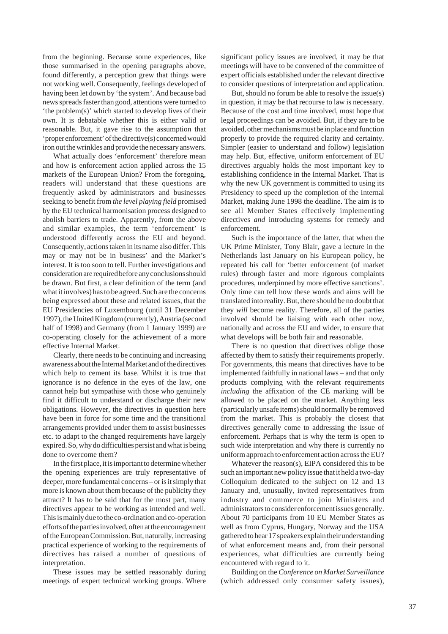from the beginning. Because some experiences, like those summarised in the opening paragraphs above, found differently, a perception grew that things were not working well. Consequently, feelings developed of having been let down by 'the system'. And because bad news spreads faster than good, attentions were turned to 'the problem(s)' which started to develop lives of their own. It is debatable whether this is either valid or reasonable. But, it gave rise to the assumption that 'proper enforcement' of the directive(s) concerned would iron out the wrinkles and provide the necessary answers.

What actually does 'enforcement' therefore mean and how is enforcement action applied across the 15 markets of the European Union? From the foregoing, readers will understand that these questions are frequently asked by administrators and businesses seeking to benefit from *the level playing field* promised by the EU technical harmonisation process designed to abolish barriers to trade. Apparently, from the above and similar examples, the term 'enforcement' is understood differently across the EU and beyond. Consequently, actions taken in its name also differ. This may or may not be in business' and the Market's interest. It is too soon to tell. Further investigations and consideration are required before any conclusions should be drawn. But first, a clear definition of the term (and what it involves) has to be agreed. Such are the concerns being expressed about these and related issues, that the EU Presidencies of Luxembourg (until 31 December 1997), the United Kingdom (currently), Austria (second half of 1998) and Germany (from 1 January 1999) are co-operating closely for the achievement of a more effective Internal Market.

Clearly, there needs to be continuing and increasing awareness about the Internal Market and of the directives which help to cement its base. Whilst it is true that ignorance is no defence in the eyes of the law, one cannot help but sympathise with those who genuinely find it difficult to understand or discharge their new obligations. However, the directives in question here have been in force for some time and the transitional arrangements provided under them to assist businesses etc. to adapt to the changed requirements have largely expired. So, why do difficulties persist and what is being done to overcome them?

In the first place, it is important to determine whether the opening experiences are truly representative of deeper, more fundamental concerns – or is it simply that more is known about them because of the publicity they attract? It has to be said that for the most part, many directives appear to be working as intended and well. This is mainly due to the co-ordination and co-operation efforts of the parties involved, often at the encouragement of the European Commission. But, naturally, increasing practical experience of working to the requirements of directives has raised a number of questions of interpretation.

These issues may be settled reasonably during meetings of expert technical working groups. Where

significant policy issues are involved, it may be that meetings will have to be convened of the committee of expert officials established under the relevant directive to consider questions of interpretation and application.

But, should no forum be able to resolve the issue(s) in question, it may be that recourse to law is necessary. Because of the cost and time involved, most hope that legal proceedings can be avoided. But, if they are to be avoided, other mechanisms must be in place and function properly to provide the required clarity and certainty. Simpler (easier to understand and follow) legislation may help. But, effective, uniform enforcement of EU directives arguably holds the most important key to establishing confidence in the Internal Market. That is why the new UK government is committed to using its Presidency to speed up the completion of the Internal Market, making June 1998 the deadline. The aim is to see all Member States effectively implementing directives *and* introducing systems for remedy and enforcement.

Such is the importance of the latter, that when the UK Prime Minister, Tony Blair, gave a lecture in the Netherlands last January on his European policy, he repeated his call for 'better enforcement (of market rules) through faster and more rigorous complaints procedures, underpinned by more effective sanctions'. Only time can tell how these words and aims will be translated into reality. But, there should be no doubt that they *will* become reality. Therefore, all of the parties involved should be liaising with each other now, nationally and across the EU and wider, to ensure that what develops will be both fair and reasonable.

There is no question that directives oblige those affected by them to satisfy their requirements properly. For governments, this means that directives have to be implemented faithfully in national laws – and that only products complying with the relevant requirements *including* the affixation of the CE marking will be allowed to be placed on the market. Anything less (particularly unsafe items) should normally be removed from the market. This is probably the closest that directives generally come to addressing the issue of enforcement. Perhaps that is why the term is open to such wide interpretation and why there is currently no uniform approach to enforcement action across the EU?

Whatever the reason(s), EIPA considered this to be such an important new policy issue that it held a two-day Colloquium dedicated to the subject on 12 and 13 January and, unusually, invited representatives from industry and commerce to join Ministers and administrators to consider enforcement issues generally. About 70 participants from 10 EU Member States as well as from Cyprus, Hungary, Norway and the USA gathered to hear 17 speakers explain their understanding of what enforcement means and, from their personal experiences, what difficulties are currently being encountered with regard to it.

Building on the *Conference on Market Surveillance* (which addressed only consumer safety issues),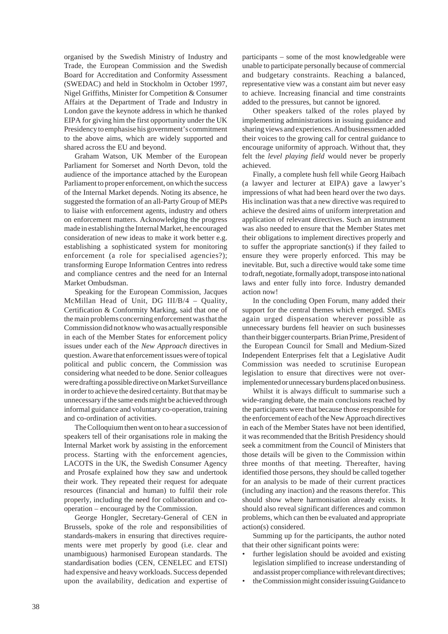organised by the Swedish Ministry of Industry and Trade, the European Commission and the Swedish Board for Accreditation and Conformity Assessment (SWEDAC) and held in Stockholm in October 1997, Nigel Griffiths, Minister for Competition & Consumer Affairs at the Department of Trade and Industry in London gave the keynote address in which he thanked EIPA for giving him the first opportunity under the UK Presidency to emphasise his government's commitment to the above aims, which are widely supported and shared across the EU and beyond.

Graham Watson, UK Member of the European Parliament for Somerset and North Devon, told the audience of the importance attached by the European Parliament to proper enforcement, on which the success of the Internal Market depends. Noting its absence, he suggested the formation of an all-Party Group of MEPs to liaise with enforcement agents, industry and others on enforcement matters. Acknowledging the progress made in establishing the Internal Market, he encouraged consideration of new ideas to make it work better e.g. establishing a sophisticated system for monitoring enforcement (a role for specialised agencies?); transforming Europe Information Centres into redress and compliance centres and the need for an Internal Market Ombudsman.

Speaking for the European Commission, Jacques McMillan Head of Unit, DG III/B/4 – Quality, Certification & Conformity Marking, said that one of the main problems concerning enforcement was that the Commission did not know who was actually responsible in each of the Member States for enforcement policy issues under each of the *New Approach* directives in question. Aware that enforcement issues were of topical political and public concern, the Commission was considering what needed to be done. Senior colleagues were drafting a possible directive on Market Surveillance in order to achieve the desired certainty. But that may be unnecessary if the same ends might be achieved through informal guidance and voluntary co-operation, training and co-ordination of activities.

The Colloquium then went on to hear a succession of speakers tell of their organisations role in making the Internal Market work by assisting in the enforcement process. Starting with the enforcement agencies, LACOTS in the UK, the Swedish Consumer Agency and Prosafe explained how they saw and undertook their work. They repeated their request for adequate resources (financial and human) to fulfil their role properly, including the need for collaboration and cooperation – encouraged by the Commission.

George Hongler, Secretary-General of CEN in Brussels, spoke of the role and responsibilities of standards-makers in ensuring that directives requirements were met properly by good (i.e. clear and unambiguous) harmonised European standards. The standardisation bodies (CEN, CENELEC and ETSI) had expensive and heavy workloads. Success depended upon the availability, dedication and expertise of participants – some of the most knowledgeable were unable to participate personally because of commercial and budgetary constraints. Reaching a balanced, representative view was a constant aim but never easy to achieve. Increasing financial and time constraints added to the pressures, but cannot be ignored.

Other speakers talked of the roles played by implementing administrations in issuing guidance and sharing views and experiences. And businessmen added their voices to the growing call for central guidance to encourage uniformity of approach. Without that, they felt the *level playing field* would never be properly achieved.

Finally, a complete hush fell while Georg Haibach (a lawyer and lecturer at EIPA) gave a lawyer's impressions of what had been heard over the two days. His inclination was that a new directive was required to achieve the desired aims of uniform interpretation and application of relevant directives. Such an instrument was also needed to ensure that the Member States met their obligations to implement directives properly and to suffer the appropriate sanction(s) if they failed to ensure they were properly enforced. This may be inevitable. But, such a directive would take some time to draft, negotiate, formally adopt, transpose into national laws and enter fully into force. Industry demanded action now!

In the concluding Open Forum, many added their support for the central themes which emerged. SMEs again urged dispensation wherever possible as unnecessary burdens fell heavier on such businesses than their bigger counterparts. Brian Prime, President of the European Council for Small and Medium-Sized Independent Enterprises felt that a Legislative Audit Commission was needed to scrutinise European legislation to ensure that directives were not overimplemented or unnecessary burdens placed on business.

Whilst it is always difficult to summarise such a wide-ranging debate, the main conclusions reached by the participants were that because those responsible for the enforcement of each of the New Approach directives in each of the Member States have not been identified, it was recommended that the British Presidency should seek a commitment from the Council of Ministers that those details will be given to the Commission within three months of that meeting. Thereafter, having identified those persons, they should be called together for an analysis to be made of their current practices (including any inaction) and the reasons therefor. This should show where harmonisation already exists. It should also reveal significant differences and common problems, which can then be evaluated and appropriate action(s) considered.

Summing up for the participants, the author noted that their other significant points were:

- *•* further legislation should be avoided and existing legislation simplified to increase understanding of and assist proper compliance with relevant directives;
- *•* the Commission might consider issuing Guidance to